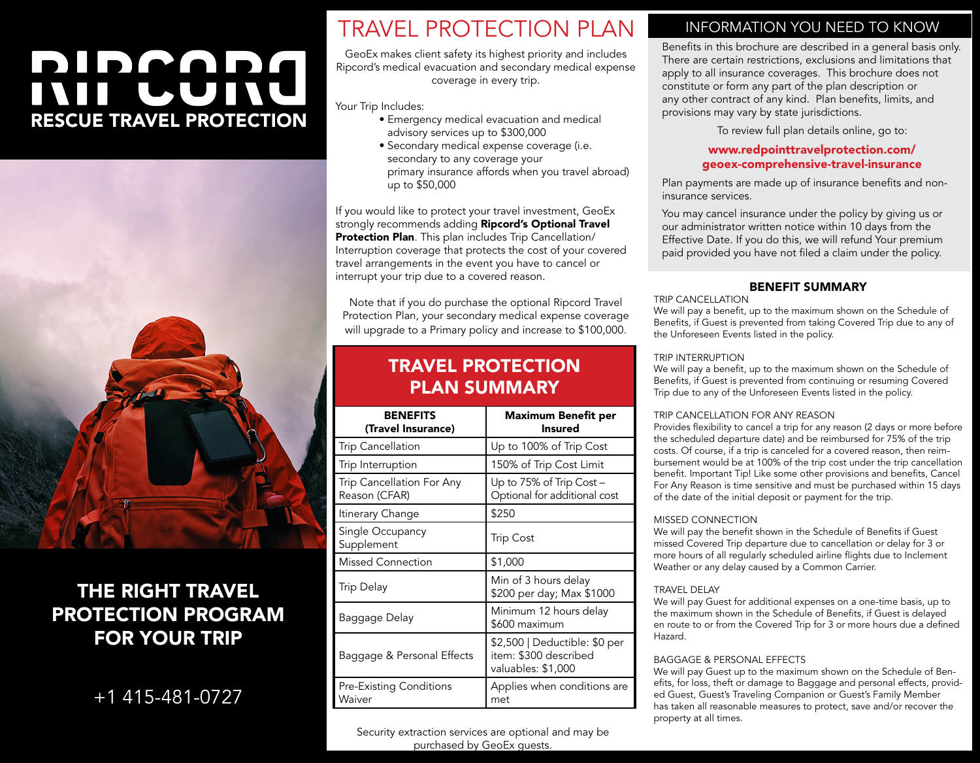# DIDPADA INII LUINU RESCUE TRAVEL PROTECTION



## THE RIGHT TRAVEL PROTECTION PROGRAM FOR YOUR TRIP

+1 415-481-0727

# TRAVEL PROTECTION PLAN

GeoEx makes client safety its highest priority and includes Ripcord's medical evacuation and secondary medical expense coverage in every trip.

Your Trip Includes:

- Emergency medical evacuation and medical advisory services up to \$300,000
- Secondary medical expense coverage (i.e. secondary to any coverage your primary insurance affords when you travel abroad) up to \$50,000

If you would like to protect your travel investment, GeoEx strongly recommends adding Ripcord's Optional Travel Protection Plan. This plan includes Trip Cancellation/ Interruption coverage that protects the cost of your covered travel arrangements in the event you have to cancel or interrupt your trip due to a covered reason.

Note that if you do purchase the optional Ripcord Travel Protection Plan, your secondary medical expense coverage will upgrade to a Primary policy and increase to \$100,000.

### TRAVEL PROTECTION PLAN SUMMARY

| <b>BENEFITS</b><br>(Travel Insurance)      | <b>Maximum Benefit per</b><br><b>Insured</b>                                 |
|--------------------------------------------|------------------------------------------------------------------------------|
| <b>Trip Cancellation</b>                   | Up to 100% of Trip Cost                                                      |
| Trip Interruption                          | 150% of Trip Cost Limit                                                      |
| Trip Cancellation For Any<br>Reason (CFAR) | Up to 75% of Trip Cost -<br>Optional for additional cost                     |
| Itinerary Change                           | \$250                                                                        |
| Single Occupancy<br>Supplement             | Trip Cost                                                                    |
| <b>Missed Connection</b>                   | \$1,000                                                                      |
| <b>Trip Delay</b>                          | Min of 3 hours delay<br>\$200 per day; Max \$1000                            |
| Baggage Delay                              | Minimum 12 hours delay<br>\$600 maximum                                      |
| Baggage & Personal Effects                 | \$2,500   Deductible: \$0 per<br>item: \$300 described<br>valuables: \$1,000 |
| <b>Pre-Existing Conditions</b><br>Waiver   | Applies when conditions are<br>met                                           |

#### INFORMATION YOU NEED TO KNOW

Benefits in this brochure are described in a general basis only. There are certain restrictions, exclusions and limitations that apply to all insurance coverages. This brochure does not constitute or form any part of the plan description or any other contract of any kind. Plan benefits, limits, and provisions may vary by state jurisdictions.

To review full plan details online, go to:

#### www.redpointtravelprotection.com/ [geoex-comprehensive-travel-insurance](https://redpointtravelprotection.com/geoex-comprehensive-travel-insurance/)

Plan payments are made up of insurance benefits and noninsurance services.

You may cancel insurance under the policy by giving us or our administrator written notice within 10 days from the Effective Date. If you do this, we will refund Your premium paid provided you have not filed a claim under the policy.

#### BENEFIT SUMMARY

TRIP CANCELLATION

We will pay a benefit, up to the maximum shown on the Schedule of Benefits, if Guest is prevented from taking Covered Trip due to any of the Unforeseen Events listed in the policy.

#### TRIP INTERRUPTION

We will pay a benefit, up to the maximum shown on the Schedule of Benefits, if Guest is prevented from continuing or resuming Covered Trip due to any of the Unforeseen Events listed in the policy.

#### TRIP CANCELLATION FOR ANY REASON

Provides flexibility to cancel a trip for any reason (2 days or more before the scheduled departure date) and be reimbursed for 75% of the trip costs. Of course, if a trip is canceled for a covered reason, then reimbursement would be at 100% of the trip cost under the trip cancellation benefit. Important Tip! Like some other provisions and benefits, Cancel For Any Reason is time sensitive and must be purchased within 15 days of the date of the initial deposit or payment for the trip.

#### MISSED CONNECTION

We will pay the benefit shown in the Schedule of Benefits if Guest missed Covered Trip departure due to cancellation or delay for 3 or more hours of all regularly scheduled airline flights due to Inclement Weather or any delay caused by a Common Carrier.

#### TRAVEL DELAY

We will pay Guest for additional expenses on a one-time basis, up to the maximum shown in the Schedule of Benefits, if Guest is delayed en route to or from the Covered Trip for 3 or more hours due a defined Hazard.

#### BAGGAGE & PERSONAL EFFECTS

We will pay Guest up to the maximum shown on the Schedule of Benefits, for loss, theft or damage to Baggage and personal effects, provided Guest, Guest's Traveling Companion or Guest's Family Member has taken all reasonable measures to protect, save and/or recover the property at all times.